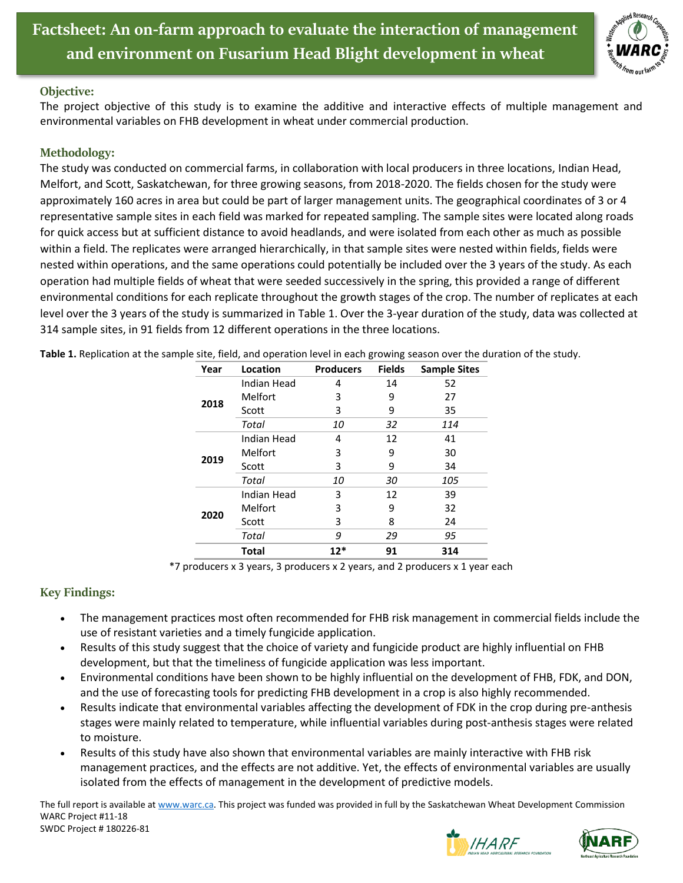

## **Objective:**

The project objective of this study is to examine the additive and interactive effects of multiple management and environmental variables on FHB development in wheat under commercial production.

## **Methodology:**

The study was conducted on commercial farms, in collaboration with local producers in three locations, Indian Head, Melfort, and Scott, Saskatchewan, for three growing seasons, from 2018-2020. The fields chosen for the study were approximately 160 acres in area but could be part of larger management units. The geographical coordinates of 3 or 4 representative sample sites in each field was marked for repeated sampling. The sample sites were located along roads for quick access but at sufficient distance to avoid headlands, and were isolated from each other as much as possible within a field. The replicates were arranged hierarchically, in that sample sites were nested within fields, fields were nested within operations, and the same operations could potentially be included over the 3 years of the study. As each operation had multiple fields of wheat that were seeded successively in the spring, this provided a range of different environmental conditions for each replicate throughout the growth stages of the crop. The number of replicates at each level over the 3 years of the study is summarized in [Table 1.](#page-0-0) Over the 3-year duration of the study, data was collected at 314 sample sites, in 91 fields from 12 different operations in the three locations.

| Year | Location       | <b>Producers</b> | <b>Fields</b> | <b>Sample Sites</b> |
|------|----------------|------------------|---------------|---------------------|
| 2018 | Indian Head    | 4                | 14            | 52                  |
|      | <b>Melfort</b> | 3                | 9             | 27                  |
|      | Scott          | 3                | 9             | 35                  |
|      | Total          | 10               | 32            | 114                 |
| 2019 | Indian Head    | 4                | 12            | 41                  |
|      | Melfort        | 3                | 9             | 30                  |
|      | Scott          | 3                | 9             | 34                  |
|      | Total          | 10               | 30            | 105                 |
| 2020 | Indian Head    | 3                | 12            | 39                  |
|      | Melfort        | 3                | 9             | 32                  |
|      | Scott          | 3                | 8             | 24                  |
|      | Total          | 9                | 29            | 95                  |
|      | <b>Total</b>   | $12*$            | 91            | 314                 |

<span id="page-0-0"></span>**Table 1.** Replication at the sample site, field, and operation level in each growing season over the duration of the study.

\*7 producers x 3 years, 3 producers x 2 years, and 2 producers x 1 year each

## **Key Findings:**

- The management practices most often recommended for FHB risk management in commercial fields include the use of resistant varieties and a timely fungicide application.
- Results of this study suggest that the choice of variety and fungicide product are highly influential on FHB development, but that the timeliness of fungicide application was less important.
- Environmental conditions have been shown to be highly influential on the development of FHB, FDK, and DON, and the use of forecasting tools for predicting FHB development in a crop is also highly recommended.
- Results indicate that environmental variables affecting the development of FDK in the crop during pre-anthesis stages were mainly related to temperature, while influential variables during post-anthesis stages were related to moisture.
- Results of this study have also shown that environmental variables are mainly interactive with FHB risk management practices, and the effects are not additive. Yet, the effects of environmental variables are usually isolated from the effects of management in the development of predictive models.

The full report is available at [www.warc.ca.](http://www.warc.ca/) This project was funded was provided in full by the Saskatchewan Wheat Development Commission WARC Project #11-18 SWDC Project # 180226-81